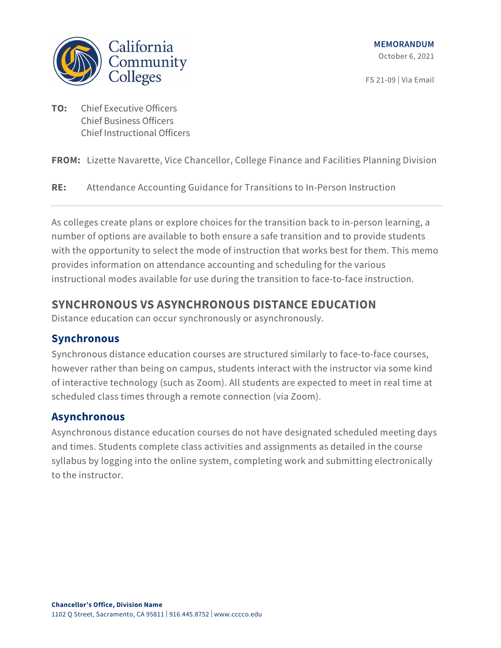

FS 21-09 | Via Email

**TO:** Chief Executive Officers Chief Business Officers Chief Instructional Officers

**FROM:** Lizette Navarette, Vice Chancellor, College Finance and Facilities Planning Division

**RE:** Attendance Accounting Guidance for Transitions to In-Person Instruction

As colleges create plans or explore choices for the transition back to in-person learning, a number of options are available to both ensure a safe transition and to provide students with the opportunity to select the mode of instruction that works best for them. This memo provides information on attendance accounting and scheduling for the various instructional modes available for use during the transition to face-to-face instruction.

# **SYNCHRONOUS VS ASYNCHRONOUS DISTANCE EDUCATION**

Distance education can occur synchronously or asynchronously.

### **Synchronous**

Synchronous distance education courses are structured similarly to face-to-face courses, however rather than being on campus, students interact with the instructor via some kind of interactive technology (such as Zoom). All students are expected to meet in real time at scheduled class times through a remote connection (via Zoom).

#### **Asynchronous**

Asynchronous distance education courses do not have designated scheduled meeting days and times. Students complete class activities and assignments as detailed in the course syllabus by logging into the online system, completing work and submitting electronically to the instructor.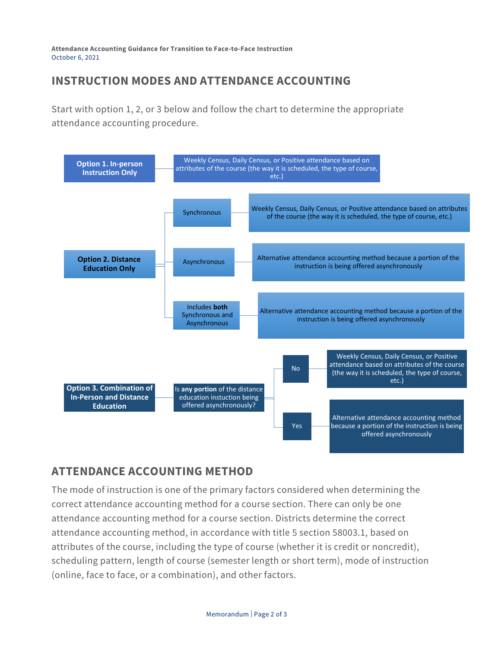**Attendance Accounting Guidance for Transition to Face-to-Face Instruction** October 6, 2021

### **INSTRUCTION MODES AND ATTENDANCE ACCOUNTING**

Start with option 1, 2, or 3 below and follow the chart to determine the appropriate attendance accounting procedure.



# **ATTENDANCE ACCOUNTING METHOD**

The mode of instruction is one of the primary factors considered when determining the correct attendance accounting method for a course section. There can only be one attendance accounting method for a course section. Districts determine the correct attendance accounting method, in accordance with title 5 section 58003.1, based on attributes of the course, including the type of course (whether it is credit or noncredit), scheduling pattern, length of course (semester length or short term), mode of instruction (online, face to face, or a combination), and other factors.